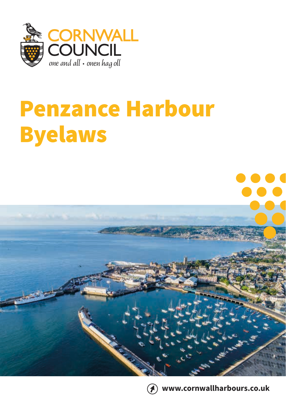

# Penzance Harbour Byelaws



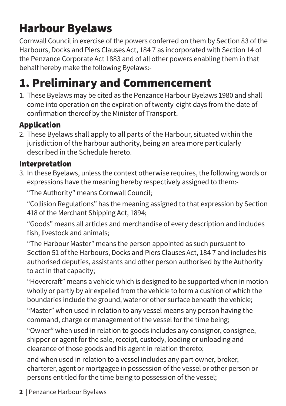### Harbour Byelaws

Cornwall Council in exercise of the powers conferred on them by Section 83 of the Harbours, Docks and Piers Clauses Act, 184 7 as incorporated with Section 14 of the Penzance Corporate Act 1883 and of all other powers enabling them in that behalf hereby make the following Byelaws:-

### 1. Preliminary and Commencement

1. These Byelaws may be cited as the Penzance Harbour Byelaws 1980 and shall come into operation on the expiration of twenty-eight days from the date of confirmation thereof by the Minister of Transport.

#### Application

2. These Byelaws shall apply to all parts of the Harbour, situated within the jurisdiction of the harbour authority, being an area more particularly described in the Schedule hereto.

#### Interpretation

3. In these Byelaws, unless the context otherwise requires, the following words or expressions have the meaning hereby respectively assigned to them:-

"The Authority" means Cornwall Council;

"Collision Regulations" has the meaning assigned to that expression by Section 418 of the Merchant Shipping Act, 1894;

"Goods" means all articles and merchandise of every description and includes fish, livestock and animals;

"The Harbour Master" means the person appointed as such pursuant to Section 51 of the Harbours, Docks and Piers Clauses Act, 184 7 and includes his authorised deputies, assistants and other person authorised by the Authority to act in that capacity;

"Hovercraft" means a vehicle which is designed to be supported when in motion wholly or partly by air expelled from the vehicle to form a cushion of which the boundaries include the ground, water or other surface beneath the vehicle;

"Master" when used in relation to any vessel means any person having the command, charge or management of the vessel for the time being;

"Owner" when used in relation to goods includes any consignor, consignee, shipper or agent for the sale, receipt, custody, loading or unloading and clearance of those goods and his agent in relation thereto;

and when used in relation to a vessel includes any part owner, broker, charterer, agent or mortgagee in possession of the vessel or other person or persons entitled for the time being to possession of the vessel;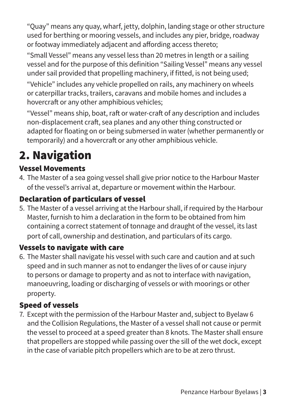"Quay" means any quay, wharf, jetty, dolphin, landing stage or other structure used for berthing or mooring vessels, and includes any pier, bridge, roadway or footway immediately adjacent and affording access thereto;

"Small Vessel" means any vessel less than 20 metres in length or a sailing vessel and for the purpose of this definition "Sailing Vessel" means any vessel under sail provided that propelling machinery, if fitted, is not being used;

"Vehicle" includes any vehicle propelled on rails, any machinery on wheels or caterpillar tracks, trailers, caravans and mobile homes and includes a hovercraft or any other amphibious vehicles;

"Vessel" means ship, boat, raft or water-craft of any description and includes non-displacement craft, sea planes and any other thing constructed or adapted for floating on or being submersed in water (whether permanently or temporarily) and a hovercraft or any other amphibious vehicle.

### 2. Navigation

#### Vessel Movements

4. The Master of a sea going vessel shall give prior notice to the Harbour Master of the vessel's arrival at, departure or movement within the Harbour.

#### Declaration of particulars of vessel

5. The Master of a vessel arriving at the Harbour shall, if required by the Harbour Master, furnish to him a declaration in the form to be obtained from him containing a correct statement of tonnage and draught of the vessel, its last port of call, ownership and destination, and particulars of its cargo.

#### Vessels to navigate with care

6. The Master shall navigate his vessel with such care and caution and at such speed and in such manner as not to endanger the lives of or cause injury to persons or damage to property and as not to interface with navigation, manoeuvring, loading or discharging of vessels or with moorings or other property.

#### Speed of vessels

7. Except with the permission of the Harbour Master and, subject to Byelaw 6 and the Collision Regulations, the Master of a vessel shall not cause or permit the vessel to proceed at a speed greater than 8 knots. The Master shall ensure that propellers are stopped while passing over the sill of the wet dock, except in the case of variable pitch propellers which are to be at zero thrust.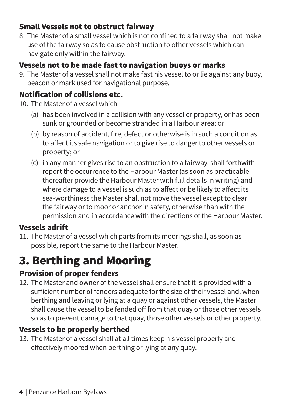#### Small Vessels not to obstruct fairway

8. The Master of a small vessel which is not confined to a fairway shall not make use of the fairway so as to cause obstruction to other vessels which can navigate only within the fairway.

#### Vessels not to be made fast to navigation buoys or marks

9. The Master of a vessel shall not make fast his vessel to or lie against any buoy, beacon or mark used for navigational purpose.

#### Notification of collisions etc.

- 10. The Master of a vessel which
	- (a) has been involved in a collision with any vessel or property, or has been sunk or grounded or become stranded in a Harbour area; or
	- (b) by reason of accident, fire, defect or otherwise is in such a condition as to affect its safe navigation or to give rise to danger to other vessels or property; or
	- (c) in any manner gives rise to an obstruction to a fairway, shall forthwith report the occurrence to the Harbour Master (as soon as practicable thereafter provide the Harbour Master with full details in writing) and where damage to a vessel is such as to affect or be likely to affect its sea-worthiness the Master shall not move the vessel except to clear the fairway or to moor or anchor in safety, otherwise than with the permission and in accordance with the directions of the Harbour Master.

#### Vessels adrift

11. The Master of a vessel which parts from its moorings shall, as soon as possible, report the same to the Harbour Master.

### 3. Berthing and Mooring

#### Provision of proper fenders

12. The Master and owner of the vessel shall ensure that it is provided with a sufficient number of fenders adequate for the size of their vessel and, when berthing and leaving or lying at a quay or against other vessels, the Master shall cause the vessel to be fended off from that quay or those other vessels so as to prevent damage to that quay, those other vessels or other property.

#### Vessels to be properly berthed

13. The Master of a vessel shall at all times keep his vessel properly and effectively moored when berthing or lying at any quay.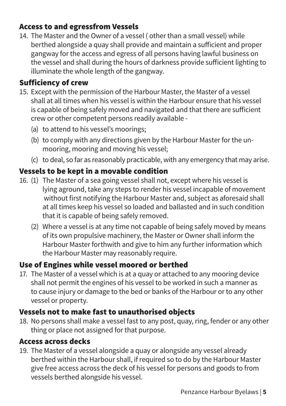#### Access to and egressfrom Vessels

14. The Master and the Owner of a vessel ( other than a small vessel) while berthed alongside a quay shall provide and maintain a sufficient and proper gangway for the access and egress of all persons having lawful business on the vessel and shall during the hours of darkness provide sufficient lighting to illuminate the whole length of the gangway.

#### Sufficiency of crew

- 15. Except with the permission of the Harbour Master, the Master of a vessel shall at all times when his vessel is within the Harbour ensure that his vessel is capable of being safely moved and navigated and that there are sufficient crew or other competent persons readily available -
	- (a) to attend to his vessel's moorings;
	- (b) to comply with any directions given by the Harbour Master for the unmooring, mooring and moving his vessel;
	- (c) to deal, so far as reasonably practicable, with any emergency that may arise.

#### Vessels to be kept in a movable condition

- 16. (1) The Master of a sea going vessel shall not, except where his vessel is lying aground, take any steps to render his vessel incapable of movement without first notifying the Harbour Master and, subject as aforesaid shall at all times keep his vessel so loaded and ballasted and in such condition that it is capable of being safely removed.
	- (2) Where a vessel is at any time not capable of being safely moved by means of its own propulsive machinery, the Master or Owner shall inform the Harbour Master forthwith and give to him any further information which the Harbour Master may reasonably require.

#### Use of Engines while vessel moored or berthed

17. The Master of a vessel which is at a quay or attached to any mooring device shall not permit the engines of his vessel to be worked in such a manner as to cause injury or damage to the bed or banks of the Harbour or to any other vessel or property.

#### Vessels not to make fast to unauthorised objects

18. No persons shall make a vessel fast to any post, quay, ring, fender or any other thing or place not assigned for that purpose.

#### Access across decks

19. The Master of a vessel alongside a quay or alongside any vessel already berthed within the Harbour shall, if required so to do by the Harbour Master give free access across the deck of his vessel for persons and goods to from vessels berthed alongside his vessel.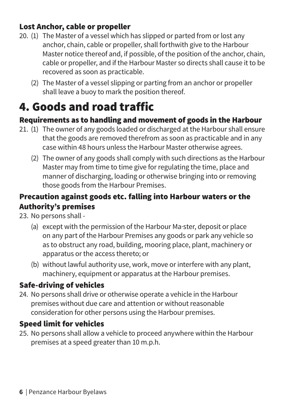#### Lost Anchor, cable or propeller

- 20. (1) The Master of a vessel which has slipped or parted from or lost any anchor, chain, cable or propeller, shall forthwith give to the Harbour Master notice thereof and, if possible, of the position of the anchor, chain, cable or propeller, and if the Harbour Master so directs shall cause it to be recovered as soon as practicable.
	- (2) The Master of a vessel slipping or parting from an anchor or propeller shall leave a buoy to mark the position thereof.

### 4. Goods and road traffic

#### Requirements as to handling and movement of goods in the Harbour

- 21. (1) The owner of any goods loaded or discharged at the Harbour shall ensure that the goods are removed therefrom as soon as practicable and in any case within 48 hours unless the Harbour Master otherwise agrees.
	- (2) The owner of any goods shall comply with such directions as the Harbour Master may from time to time give for regulating the time, place and manner of discharging, loading or otherwise bringing into or removing those goods from the Harbour Premises.

#### Precaution against goods etc. falling into Harbour waters or the Authority's premises

23. No persons shall -

- (a) except with the permission of the Harbour Ma·ster, deposit or place on any part of the Harbour Premises any goods or park any vehicle so as to obstruct any road, building, mooring place, plant, machinery or apparatus or the access thereto; or
- (b) without lawful authority use, work, move or interfere with any plant, machinery, equipment or apparatus at the Harbour premises.

#### Safe-driving of vehicles

24. No persons shall drive or otherwise operate a vehicle in the Harbour premises without due care and attention or without reasonable consideration for other persons using the Harbour premises.

#### Speed limit for vehicles

25. No persons shall allow a vehicle to proceed anywhere within the Harbour premises at a speed greater than 10 m.p.h.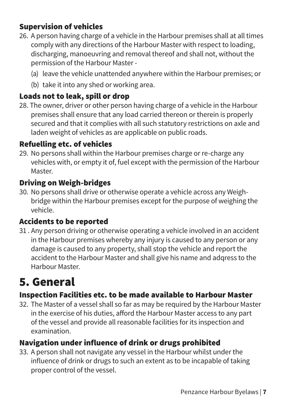#### Supervision of vehicles

- 26. A person having charge of a vehicle in the Harbour premises shall at all times comply with any directions of the Harbour Master with respect to loading, discharging, manoeuvring and removal thereof and shall not, without the permission of the Harbour Master -
	- (a) leave the vehicle unattended anywhere within the Harbour premises; or
	- (b) take it into any shed or working area.

#### Loads not to leak, spill or drop

28. The owner, driver or other person having charge of a vehicle in the Harbour premises shall ensure that any load carried thereon or therein is properly secured and that it complies with all such statutory restrictions on axle and laden weight of vehicles as are applicable on public roads.

#### Refuelling etc. of vehicles

29. No persons shall within the Harbour premises charge or re-charge any vehicles with, or empty it of, fuel except with the permission of the Harbour Master.

#### Driving on Weigh-bridges

30. No persons shall drive or otherwise operate a vehicle across any Weighbridge within the Harbour premises except for the purpose of weighing the vehicle.

#### Accidents to be reported

31 . Any person driving or otherwise operating a vehicle involved in an accident in the Harbour premises whereby any injury is caused to any person or any damage is caused to any property, shall stop the vehicle and report the accident to the Harbour Master and shall give his name and adqress to the Harbour Master.

### 5. General

#### Inspection Facilities etc. to be made available to Harbour Master

32. The Master of a vessel shall so far as may be required by the Harbour Master in the exercise of his duties, afford the Harbour Master access to any part of the vessel and provide all reasonable facilities for its inspection and examination.

#### Navigation under influence of drink or drugs prohibited

33. A person shall not navigate any vessel in the Harbour whilst under the influence of drink or drugs to such an extent as to be incapable of taking proper control of the vessel.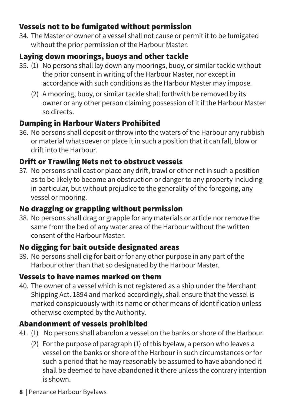#### Vessels not to be fumigated without permission

34. The Master or owner of a vessel shall not cause or permit it to be fumigated without the prior permission of the Harbour Master.

#### Laying down moorings, buoys and other tackle

- 35. (1) No persons shall lay down any moorings, buoy, or similar tackle without the prior consent in writing of the Harbour Master, nor except in accordance with such conditions as the Harbour Master may impose.
	- (2) A mooring, buoy, or similar tackle shall forthwith be removed by its owner or any other person claiming possession of it if the Harbour Master so directs.

#### Dumping in Harbour Waters Prohibited

36. No persons shall deposit or throw into the waters of the Harbour any rubbish or material whatsoever or place it in such a position that it can fall, blow or drift into the Harbour.

#### Drift or Trawling Nets not to obstruct vessels

37. No persons shall cast or place any drift, trawl or other net in such a position as to be likely to become an obstruction or danger to any property including in particular, but without prejudice to the generality of the foregoing, any vessel or mooring.

#### No dragging or grappling without permission

38. No persons shall drag or grapple for any materials or article nor remove the same from the bed of any water area of the Harbour without the written consent of the Harbour Master.

#### No digging for bait outside designated areas

39. No persons shall dig for bait or for any other purpose in any part of the Harbour other than that so designated by the Harbour Master.

#### Vessels to have names marked on them

40. The owner of a vessel which is not registered as a ship under the Merchant Shipping Act. 1894 and marked accordingly, shall ensure that the vessel is marked conspicuously with its name or other means of identification unless otherwise exempted by the Authority.

#### Abandonment of vessels prohibited

- 41. (1) No persons shall abandon a vessel on the banks or shore of the Harbour.
	- (2) For the purpose of paragraph (1) of this byelaw, a person who leaves a vessel on the banks or shore of the Harbour in such circumstances or for such a period that he may reasonably be assumed to have abandoned it shall be deemed to have abandoned it there unless the contrary intention is shown.
- **8** | Penzance Harbour Byelaws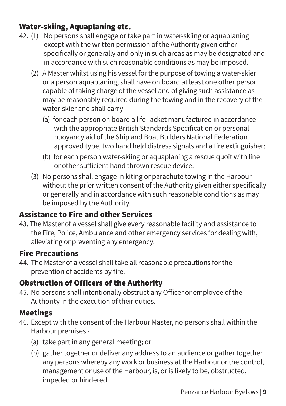#### Water-skiing, Aquaplaning etc.

- 42. (1) No persons shall engage or take part in water-skiing or aquaplaning except with the written permission of the Authority given either specifically or generally and only in such areas as may be designated and in accordance with such reasonable conditions as may be imposed.
	- (2) A Master whilst using his vessel for the purpose of towing a water-skier or a person aquaplaning, shall have on board at least one other person capable of taking charge of the vessel and of giving such assistance as may be reasonably required during the towing and in the recovery of the water-skier and shall carry -
		- (a) for each person on board a life-jacket manufactured in accordance with the appropriate British Standards Specification or personal buoyancy aid of the Ship and Boat Builders National Federation approved type, two hand held distress signals and a fire extinguisher;
		- (b) for each person water-skiing or aquaplaning a rescue quoit with line or other sufficient hand thrown rescue device.
	- (3) No persons shall engage in kiting or parachute towing in the Harbour without the prior written consent of the Authority given either specifically or generally and in accordance with such reasonable conditions as may be imposed by the Authority.

#### Assistance to Fire and other Services

43. The Master of a vessel shall give every reasonable facility and assistance to the Fire, Police, Ambulance and other emergency services for dealing with, alleviating or preventing any emergency.

#### Fire Precautions

44. The Master of a vessel shall take all reasonable precautions for the prevention of accidents by fire.

#### Obstruction of Officers of the Authority

45. No persons shall intentionally obstruct any Officer or employee of the Authority in the execution of their duties.

#### Meetings

- 46. Except with the consent of the Harbour Master, no persons shall within the Harbour premises -
	- (a) take part in any general meeting; or
	- (b) gather together or deliver any address to an audience or gather together any persons whereby any work or business at the Harbour or the control, management or use of the Harbour, is, or is likely to be, obstructed, impeded or hindered.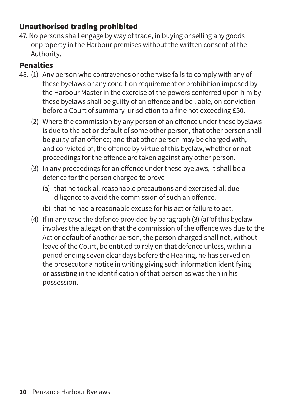#### Unauthorised trading prohibited

47. No persons shall engage by way of trade, in buying or selling any goods or property in the Harbour premises without the written consent of the Authority.

#### Penalties

- 48. (1) Any person who contravenes or otherwise fails to comply with any of these byelaws or any condition requirement or prohibition imposed by the Harbour Master in the exercise of the powers conferred upon him by these byelaws shall be guilty of an offence and be liable, on conviction before a Court of summary jurisdiction to a fine not exceeding £50.
	- (2) Where the commission by any person of an offence under these byelaws is due to the act or default of some other person, that other person shall be guilty of an offence; and that other person may be charged with, and convicted of, the offence by virtue of this byelaw, whether or not proceedings for the offence are taken against any other person.
	- (3) In any proceedings for an offence under these byelaws, it shall be a defence for the person charged to prove -
		- (a) that he took all reasonable precautions and exercised all due diligence to avoid the commission of such an offence.
		- (b) that he had a reasonable excuse for his act or failure to act.
	- (4) If in any case the defence provided by paragraph (3) (a)°of this byelaw involves the allegation that the commission of the offence was due to the Act or default of another person, the person charged shall not, without leave of the Court, be entitled to rely on that defence unless, within a period ending seven clear days before the Hearing, he has served on the prosecutor a notice in writing giving such information identifying or assisting in the identification of that person as was then in his possession.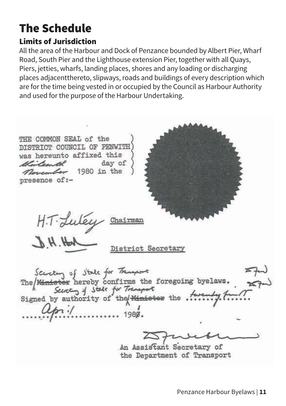### The Schedule

#### Limits of Jurisdiction

All the area of the Harbour and Dock of Penzance bounded by Albert Pier, Wharf Road, South Pier and the Lighthouse extension Pier, together with all Quays, Piers, jetties, wharfs, landing places, shores and any loading or discharging places adjacentthereto, slipways, roads and buildings of every description which are for the time being vested in or occupied by the Council as Harbour Authority and used for the purpose of the Harbour Undertaking.

THE COMMON SEAL of the DISTRICT COUNCIL OF PENWITH was hereunto affixed this Wirtsorth day of Rovember 1980 in the presence of:-H.T. Luley Chairman  $J.H.H$ District Secretary Secretary of State for Transport<br>The Himister hereby confirms the foregoing byelaws.<br>Signed by authority of the Himister the furnity. An Assistant Secretary of the Department of Transport